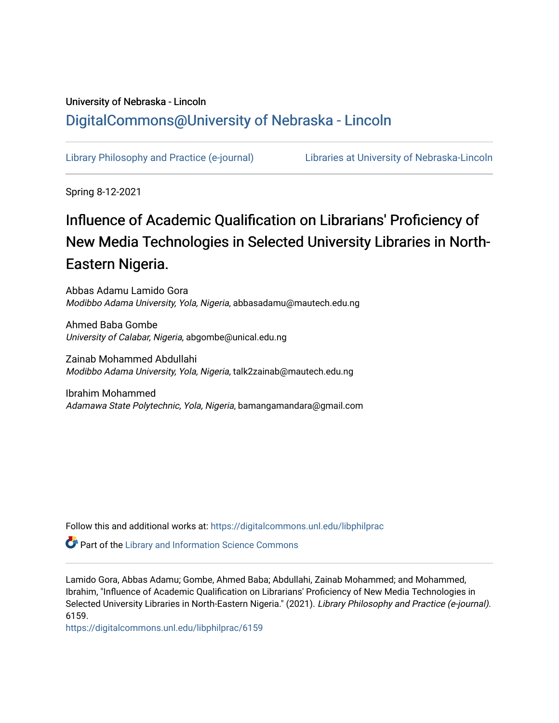# University of Nebraska - Lincoln [DigitalCommons@University of Nebraska - Lincoln](https://digitalcommons.unl.edu/)

[Library Philosophy and Practice \(e-journal\)](https://digitalcommons.unl.edu/libphilprac) [Libraries at University of Nebraska-Lincoln](https://digitalcommons.unl.edu/libraries) 

Spring 8-12-2021

# Influence of Academic Qualification on Librarians' Proficiency of New Media Technologies in Selected University Libraries in North-Eastern Nigeria.

Abbas Adamu Lamido Gora Modibbo Adama University, Yola, Nigeria, abbasadamu@mautech.edu.ng

Ahmed Baba Gombe University of Calabar, Nigeria, abgombe@unical.edu.ng

Zainab Mohammed Abdullahi Modibbo Adama University, Yola, Nigeria, talk2zainab@mautech.edu.ng

Ibrahim Mohammed Adamawa State Polytechnic, Yola, Nigeria, bamangamandara@gmail.com

Follow this and additional works at: [https://digitalcommons.unl.edu/libphilprac](https://digitalcommons.unl.edu/libphilprac?utm_source=digitalcommons.unl.edu%2Flibphilprac%2F6159&utm_medium=PDF&utm_campaign=PDFCoverPages) 

**P** Part of the Library and Information Science Commons

Lamido Gora, Abbas Adamu; Gombe, Ahmed Baba; Abdullahi, Zainab Mohammed; and Mohammed, Ibrahim, "Influence of Academic Qualification on Librarians' Proficiency of New Media Technologies in Selected University Libraries in North-Eastern Nigeria." (2021). Library Philosophy and Practice (e-journal). 6159.

[https://digitalcommons.unl.edu/libphilprac/6159](https://digitalcommons.unl.edu/libphilprac/6159?utm_source=digitalcommons.unl.edu%2Flibphilprac%2F6159&utm_medium=PDF&utm_campaign=PDFCoverPages)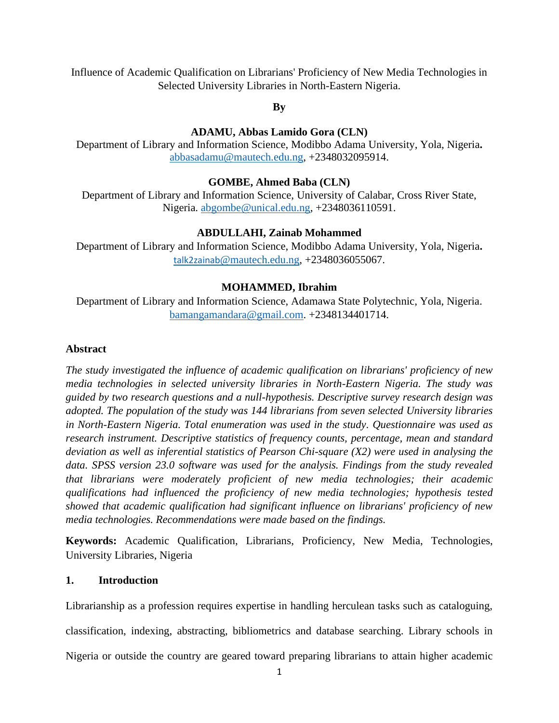Influence of Academic Qualification on Librarians' Proficiency of New Media Technologies in Selected University Libraries in North-Eastern Nigeria.

**By**

# **ADAMU, Abbas Lamido Gora (CLN)**

Department of Library and Information Science, Modibbo Adama University, Yola, Nigeria**.**  [abbas](mailto:swiss04@live.com)adamu@mautech.edu.ng, +2348032095914.

# **GOMBE, Ahmed Baba (CLN)**

Department of Library and Information Science, University of Calabar, Cross River State, Nigeria. [abgombe@unical.edu.ng,](mailto:abgombe@unical.edu.ng) +2348036110591.

## **ABDULLAHI, Zainab Mohammed**

Department of Library and Information Science, Modibbo Adama University, Yola, Nigeria**.**  [talk2zainab](mailto:talk2zainab@mautech.edu.ng)[@mautech.edu.ng,](mailto:talk2zainab@mautech.edu.ng) +2348036055067.

# **MOHAMMED, Ibrahim**

Department of Library and Information Science, Adamawa State Polytechnic, Yola, Nigeria. [bamangamandara@gmail.com.](mailto:bamangamandara@gmail.com) +2348134401714.

## **Abstract**

*The study investigated the influence of academic qualification on librarians' proficiency of new media technologies in selected university libraries in North-Eastern Nigeria. The study was guided by two research questions and a null-hypothesis. Descriptive survey research design was adopted. The population of the study was 144 librarians from seven selected University libraries in North-Eastern Nigeria. Total enumeration was used in the study. Questionnaire was used as research instrument. Descriptive statistics of frequency counts, percentage, mean and standard deviation as well as inferential statistics of Pearson Chi-square (X2) were used in analysing the data. SPSS version 23.0 software was used for the analysis. Findings from the study revealed that librarians were moderately proficient of new media technologies; their academic qualifications had influenced the proficiency of new media technologies; hypothesis tested showed that academic qualification had significant influence on librarians' proficiency of new media technologies. Recommendations were made based on the findings.*

**Keywords:** Academic Qualification, Librarians, Proficiency, New Media, Technologies, University Libraries, Nigeria

## **1. Introduction**

Librarianship as a profession requires expertise in handling herculean tasks such as cataloguing, classification, indexing, abstracting, bibliometrics and database searching. Library schools in Nigeria or outside the country are geared toward preparing librarians to attain higher academic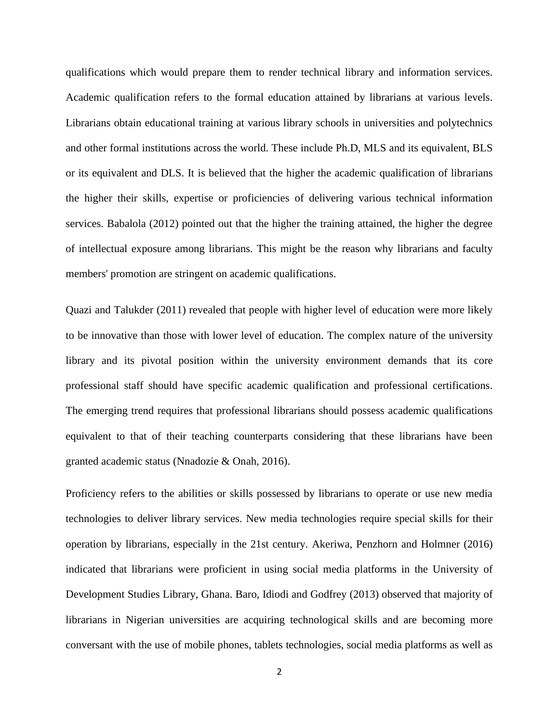qualifications which would prepare them to render technical library and information services. Academic qualification refers to the formal education attained by librarians at various levels. Librarians obtain educational training at various library schools in universities and polytechnics and other formal institutions across the world. These include Ph.D, MLS and its equivalent, BLS or its equivalent and DLS. It is believed that the higher the academic qualification of librarians the higher their skills, expertise or proficiencies of delivering various technical information services. Babalola (2012) pointed out that the higher the training attained, the higher the degree of intellectual exposure among librarians. This might be the reason why librarians and faculty members' promotion are stringent on academic qualifications.

Quazi and Talukder (2011) revealed that people with higher level of education were more likely to be innovative than those with lower level of education. The complex nature of the university library and its pivotal position within the university environment demands that its core professional staff should have specific academic qualification and professional certifications. The emerging trend requires that professional librarians should possess academic qualifications equivalent to that of their teaching counterparts considering that these librarians have been granted academic status (Nnadozie & Onah, 2016).

Proficiency refers to the abilities or skills possessed by librarians to operate or use new media technologies to deliver library services. New media technologies require special skills for their operation by librarians, especially in the 21st century. Akeriwa, Penzhorn and Holmner (2016) indicated that librarians were proficient in using social media platforms in the University of Development Studies Library, Ghana. Baro, Idiodi and Godfrey (2013) observed that majority of librarians in Nigerian universities are acquiring technological skills and are becoming more conversant with the use of mobile phones, tablets technologies, social media platforms as well as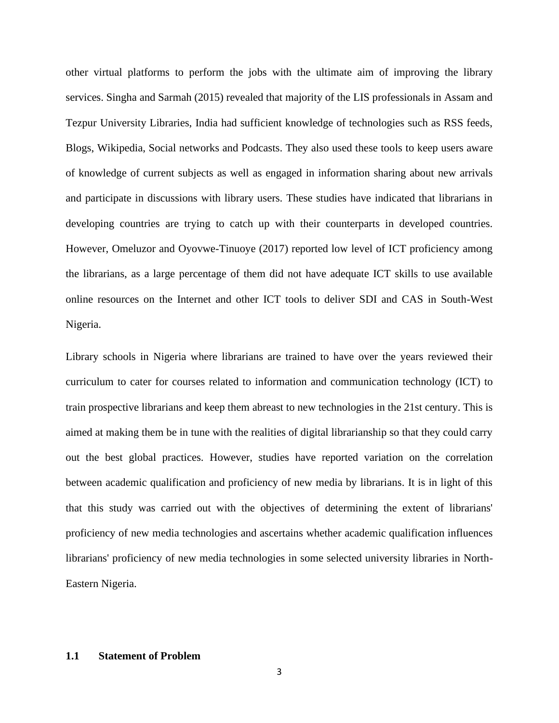other virtual platforms to perform the jobs with the ultimate aim of improving the library services. Singha and Sarmah (2015) revealed that majority of the LIS professionals in Assam and Tezpur University Libraries, India had sufficient knowledge of technologies such as RSS feeds, Blogs, Wikipedia, Social networks and Podcasts. They also used these tools to keep users aware of knowledge of current subjects as well as engaged in information sharing about new arrivals and participate in discussions with library users. These studies have indicated that librarians in developing countries are trying to catch up with their counterparts in developed countries. However, Omeluzor and Oyovwe-Tinuoye (2017) reported low level of ICT proficiency among the librarians, as a large percentage of them did not have adequate ICT skills to use available online resources on the Internet and other ICT tools to deliver SDI and CAS in South-West Nigeria.

Library schools in Nigeria where librarians are trained to have over the years reviewed their curriculum to cater for courses related to information and communication technology (ICT) to train prospective librarians and keep them abreast to new technologies in the 21st century. This is aimed at making them be in tune with the realities of digital librarianship so that they could carry out the best global practices. However, studies have reported variation on the correlation between academic qualification and proficiency of new media by librarians. It is in light of this that this study was carried out with the objectives of determining the extent of librarians' proficiency of new media technologies and ascertains whether academic qualification influences librarians' proficiency of new media technologies in some selected university libraries in North-Eastern Nigeria.

#### **1.1 Statement of Problem**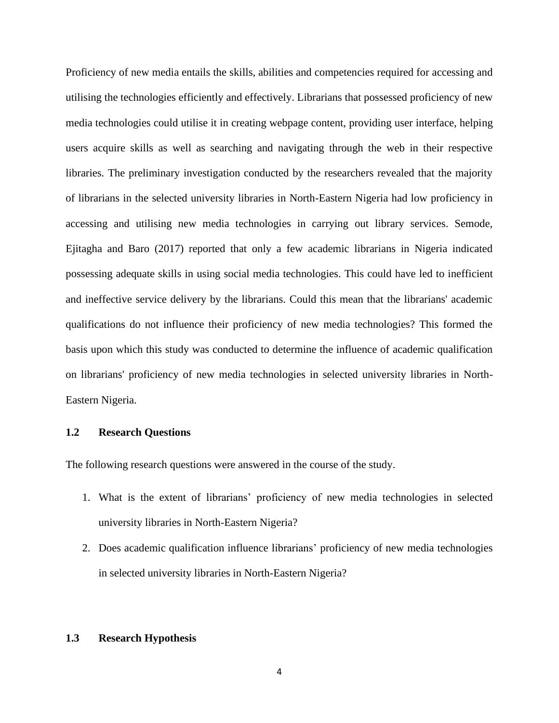Proficiency of new media entails the skills, abilities and competencies required for accessing and utilising the technologies efficiently and effectively. Librarians that possessed proficiency of new media technologies could utilise it in creating webpage content, providing user interface, helping users acquire skills as well as searching and navigating through the web in their respective libraries. The preliminary investigation conducted by the researchers revealed that the majority of librarians in the selected university libraries in North-Eastern Nigeria had low proficiency in accessing and utilising new media technologies in carrying out library services. Semode, Ejitagha and Baro (2017) reported that only a few academic librarians in Nigeria indicated possessing adequate skills in using social media technologies. This could have led to inefficient and ineffective service delivery by the librarians. Could this mean that the librarians' academic qualifications do not influence their proficiency of new media technologies? This formed the basis upon which this study was conducted to determine the influence of academic qualification on librarians' proficiency of new media technologies in selected university libraries in North-Eastern Nigeria.

## **1.2 Research Questions**

The following research questions were answered in the course of the study.

- 1. What is the extent of librarians' proficiency of new media technologies in selected university libraries in North-Eastern Nigeria?
- 2. Does academic qualification influence librarians' proficiency of new media technologies in selected university libraries in North-Eastern Nigeria?

## **1.3 Research Hypothesis**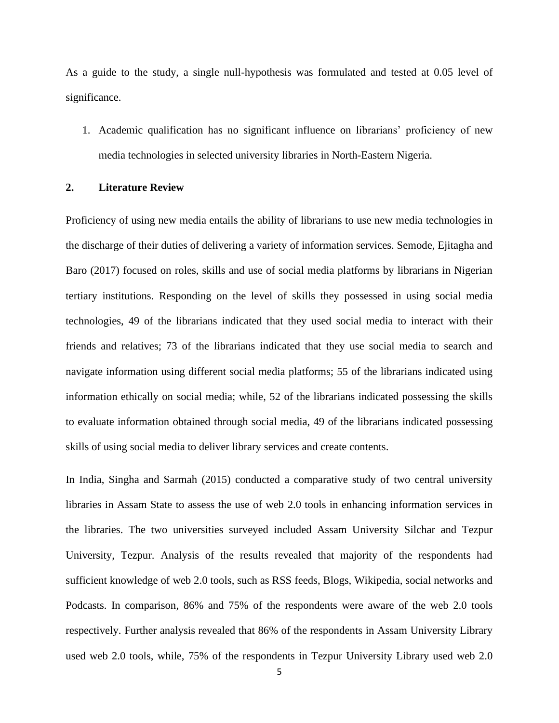As a guide to the study, a single null-hypothesis was formulated and tested at 0.05 level of significance.

1. Academic qualification has no significant influence on librarians' proficiency of new media technologies in selected university libraries in North-Eastern Nigeria.

#### **2. Literature Review**

Proficiency of using new media entails the ability of librarians to use new media technologies in the discharge of their duties of delivering a variety of information services. Semode, Ejitagha and Baro (2017) focused on roles, skills and use of social media platforms by librarians in Nigerian tertiary institutions. Responding on the level of skills they possessed in using social media technologies, 49 of the librarians indicated that they used social media to interact with their friends and relatives; 73 of the librarians indicated that they use social media to search and navigate information using different social media platforms; 55 of the librarians indicated using information ethically on social media; while, 52 of the librarians indicated possessing the skills to evaluate information obtained through social media, 49 of the librarians indicated possessing skills of using social media to deliver library services and create contents.

In India, Singha and Sarmah (2015) conducted a comparative study of two central university libraries in Assam State to assess the use of web 2.0 tools in enhancing information services in the libraries. The two universities surveyed included Assam University Silchar and Tezpur University, Tezpur. Analysis of the results revealed that majority of the respondents had sufficient knowledge of web 2.0 tools, such as RSS feeds, Blogs, Wikipedia, social networks and Podcasts. In comparison, 86% and 75% of the respondents were aware of the web 2.0 tools respectively. Further analysis revealed that 86% of the respondents in Assam University Library used web 2.0 tools, while, 75% of the respondents in Tezpur University Library used web 2.0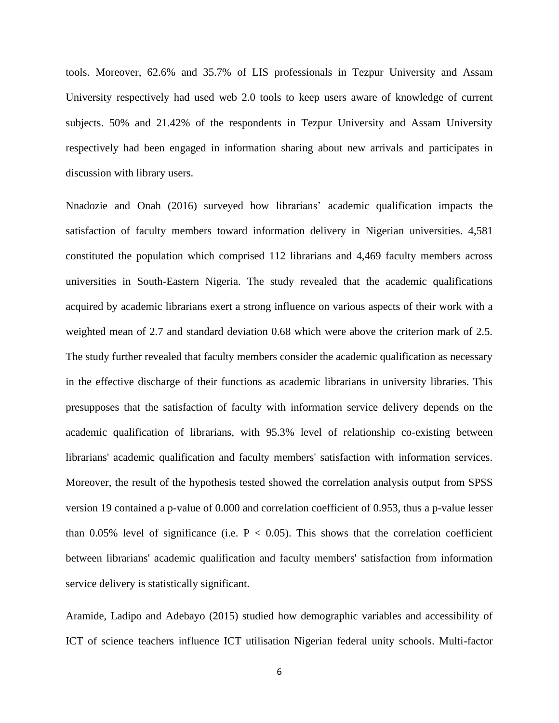tools. Moreover, 62.6% and 35.7% of LIS professionals in Tezpur University and Assam University respectively had used web 2.0 tools to keep users aware of knowledge of current subjects. 50% and 21.42% of the respondents in Tezpur University and Assam University respectively had been engaged in information sharing about new arrivals and participates in discussion with library users.

Nnadozie and Onah (2016) surveyed how librarians' academic qualification impacts the satisfaction of faculty members toward information delivery in Nigerian universities. 4,581 constituted the population which comprised 112 librarians and 4,469 faculty members across universities in South-Eastern Nigeria. The study revealed that the academic qualifications acquired by academic librarians exert a strong influence on various aspects of their work with a weighted mean of 2.7 and standard deviation 0.68 which were above the criterion mark of 2.5. The study further revealed that faculty members consider the academic qualification as necessary in the effective discharge of their functions as academic librarians in university libraries. This presupposes that the satisfaction of faculty with information service delivery depends on the academic qualification of librarians, with 95.3% level of relationship co-existing between librarians' academic qualification and faculty members' satisfaction with information services. Moreover, the result of the hypothesis tested showed the correlation analysis output from SPSS version 19 contained a p-value of 0.000 and correlation coefficient of 0.953, thus a p-value lesser than 0.05% level of significance (i.e.  $P < 0.05$ ). This shows that the correlation coefficient between librarians' academic qualification and faculty members' satisfaction from information service delivery is statistically significant.

Aramide, Ladipo and Adebayo (2015) studied how demographic variables and accessibility of ICT of science teachers influence ICT utilisation Nigerian federal unity schools. Multi-factor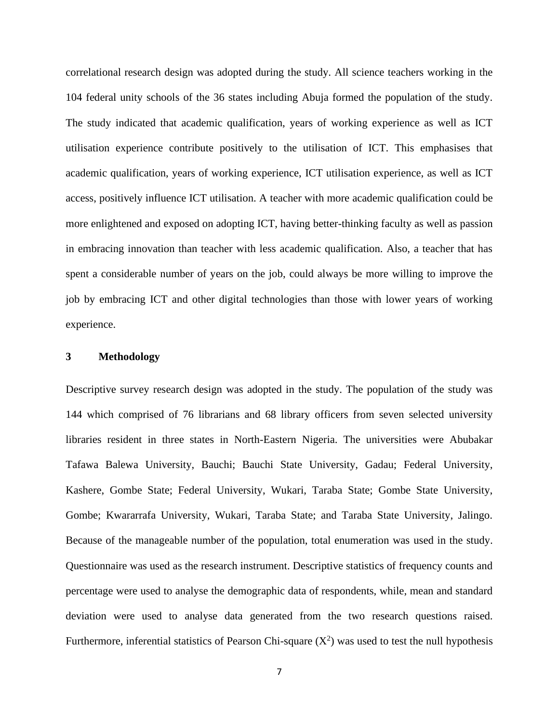correlational research design was adopted during the study. All science teachers working in the 104 federal unity schools of the 36 states including Abuja formed the population of the study. The study indicated that academic qualification, years of working experience as well as ICT utilisation experience contribute positively to the utilisation of ICT. This emphasises that academic qualification, years of working experience, ICT utilisation experience, as well as ICT access, positively influence ICT utilisation. A teacher with more academic qualification could be more enlightened and exposed on adopting ICT, having better-thinking faculty as well as passion in embracing innovation than teacher with less academic qualification. Also, a teacher that has spent a considerable number of years on the job, could always be more willing to improve the job by embracing ICT and other digital technologies than those with lower years of working experience.

#### **3 Methodology**

Descriptive survey research design was adopted in the study. The population of the study was 144 which comprised of 76 librarians and 68 library officers from seven selected university libraries resident in three states in North-Eastern Nigeria. The universities were Abubakar Tafawa Balewa University, Bauchi; Bauchi State University, Gadau; Federal University, Kashere, Gombe State; Federal University, Wukari, Taraba State; Gombe State University, Gombe; Kwararrafa University, Wukari, Taraba State; and Taraba State University, Jalingo. Because of the manageable number of the population, total enumeration was used in the study. Questionnaire was used as the research instrument. Descriptive statistics of frequency counts and percentage were used to analyse the demographic data of respondents, while, mean and standard deviation were used to analyse data generated from the two research questions raised. Furthermore, inferential statistics of Pearson Chi-square  $(X^2)$  was used to test the null hypothesis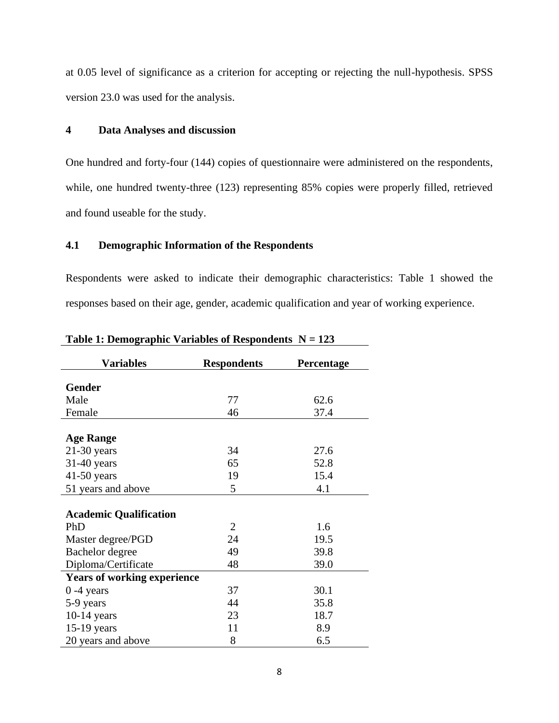at 0.05 level of significance as a criterion for accepting or rejecting the null-hypothesis. SPSS version 23.0 was used for the analysis.

#### **4 Data Analyses and discussion**

One hundred and forty-four (144) copies of questionnaire were administered on the respondents, while, one hundred twenty-three (123) representing 85% copies were properly filled, retrieved and found useable for the study.

## **4.1 Demographic Information of the Respondents**

Respondents were asked to indicate their demographic characteristics: Table 1 showed the responses based on their age, gender, academic qualification and year of working experience.

| <b>Variables</b>                   | <b>Respondents</b> | Percentage |
|------------------------------------|--------------------|------------|
|                                    |                    |            |
| <b>Gender</b>                      |                    |            |
| Male                               | 77                 | 62.6       |
| Female                             | 46                 | 37.4       |
|                                    |                    |            |
| <b>Age Range</b>                   |                    |            |
| $21-30$ years                      | 34                 | 27.6       |
| $31-40$ years                      | 65                 | 52.8       |
| $41-50$ years                      | 19                 | 15.4       |
| 51 years and above                 | 5                  | 4.1        |
|                                    |                    |            |
| <b>Academic Qualification</b>      |                    |            |
| PhD                                | $\overline{2}$     | 1.6        |
| Master degree/PGD                  | 24                 | 19.5       |
| Bachelor degree                    | 49                 | 39.8       |
| Diploma/Certificate                | 48                 | 39.0       |
| <b>Years of working experience</b> |                    |            |
| $0 - 4$ years                      | 37                 | 30.1       |
| 5-9 years                          | 44                 | 35.8       |
| $10-14$ years                      | 23                 | 18.7       |
| $15-19$ years                      | 11                 | 8.9        |
| 20 years and above                 | 8                  | 6.5        |

Table 1: Demographic Variables of Respondents  $N = 123$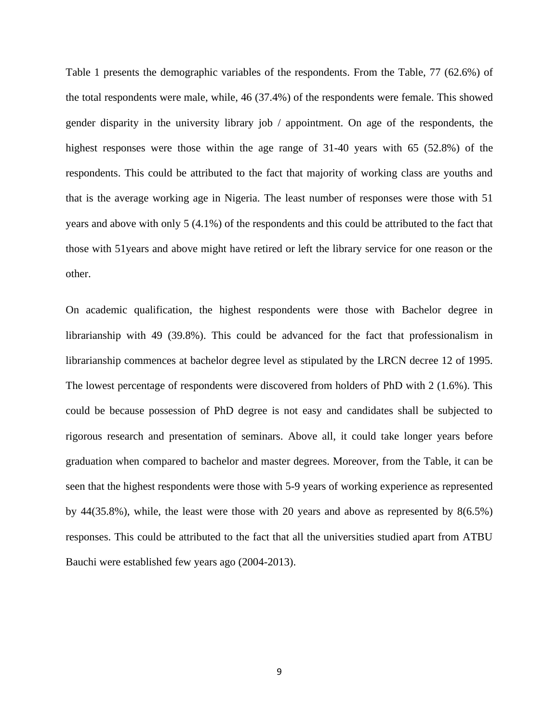Table 1 presents the demographic variables of the respondents. From the Table, 77 (62.6%) of the total respondents were male, while, 46 (37.4%) of the respondents were female. This showed gender disparity in the university library job / appointment. On age of the respondents, the highest responses were those within the age range of 31-40 years with 65 (52.8%) of the respondents. This could be attributed to the fact that majority of working class are youths and that is the average working age in Nigeria. The least number of responses were those with 51 years and above with only 5 (4.1%) of the respondents and this could be attributed to the fact that those with 51years and above might have retired or left the library service for one reason or the other.

On academic qualification, the highest respondents were those with Bachelor degree in librarianship with 49 (39.8%). This could be advanced for the fact that professionalism in librarianship commences at bachelor degree level as stipulated by the LRCN decree 12 of 1995. The lowest percentage of respondents were discovered from holders of PhD with 2 (1.6%). This could be because possession of PhD degree is not easy and candidates shall be subjected to rigorous research and presentation of seminars. Above all, it could take longer years before graduation when compared to bachelor and master degrees. Moreover, from the Table, it can be seen that the highest respondents were those with 5-9 years of working experience as represented by 44(35.8%), while, the least were those with 20 years and above as represented by 8(6.5%) responses. This could be attributed to the fact that all the universities studied apart from ATBU Bauchi were established few years ago (2004-2013).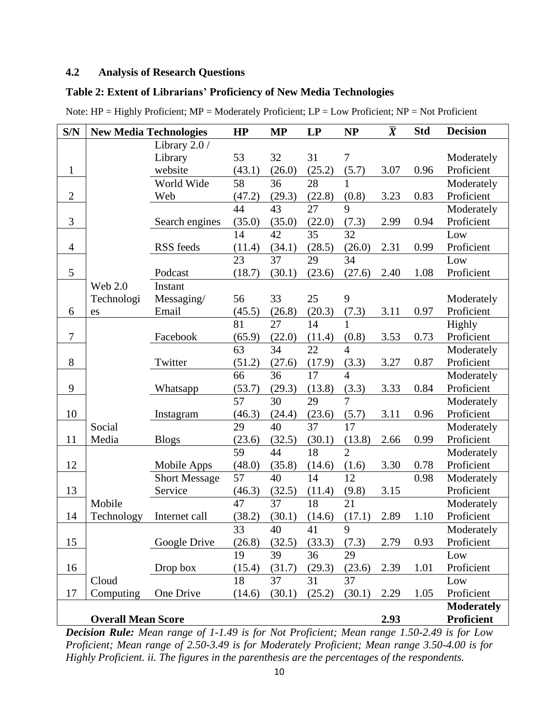# **4.2 Analysis of Research Questions**

## **Table 2: Extent of Librarians' Proficiency of New Media Technologies**

| S/N            |                           | <b>New Media Technologies</b> | HP              | <b>MP</b> | <b>LP</b> | <b>NP</b>        | $\overline{X}$ | <b>Std</b> | <b>Decision</b>   |
|----------------|---------------------------|-------------------------------|-----------------|-----------|-----------|------------------|----------------|------------|-------------------|
|                |                           | Library 2.0 /                 |                 |           |           |                  |                |            |                   |
|                |                           | Library                       | 53              | 32        | 31        | $\boldsymbol{7}$ |                |            | Moderately        |
| $\mathbf{1}$   |                           | website                       | (43.1)          | (26.0)    | (25.2)    | (5.7)            | 3.07           | 0.96       | Proficient        |
|                |                           | World Wide                    | 58              | 36        | 28        | $\mathbf{1}$     |                |            | Moderately        |
| $\overline{2}$ |                           | Web                           | (47.2)          | (29.3)    | (22.8)    | (0.8)            | 3.23           | 0.83       | Proficient        |
|                |                           |                               | 44              | 43        | 27        | 9                |                |            | Moderately        |
| 3              |                           | Search engines                | (35.0)          | (35.0)    | (22.0)    | (7.3)            | 2.99           | 0.94       | Proficient        |
|                |                           |                               | 14              | 42        | 35        | 32               |                |            | Low               |
| $\overline{4}$ |                           | RSS feeds                     | (11.4)          | (34.1)    | (28.5)    | (26.0)           | 2.31           | 0.99       | Proficient        |
|                |                           |                               | $\overline{23}$ | 37        | 29        | 34               |                |            | Low               |
| 5              |                           | Podcast                       | (18.7)          | (30.1)    | (23.6)    | (27.6)           | 2.40           | 1.08       | Proficient        |
|                | <b>Web 2.0</b>            | Instant                       |                 |           |           |                  |                |            |                   |
|                | Technologi                | Messaging/                    | 56              | 33        | 25        | 9                |                |            | Moderately        |
| 6              | es                        | Email                         | (45.5)          | (26.8)    | (20.3)    | (7.3)            | 3.11           | 0.97       | Proficient        |
|                |                           |                               | 81              | 27        | 14        | $\mathbf{1}$     |                |            | Highly            |
| $\tau$         |                           | Facebook                      | (65.9)          | (22.0)    | (11.4)    | (0.8)            | 3.53           | 0.73       | Proficient        |
|                |                           |                               | 63              | 34        | 22        | $\overline{4}$   |                |            | Moderately        |
| 8              |                           | Twitter                       | (51.2)          | (27.6)    | (17.9)    | (3.3)            | 3.27           | 0.87       | Proficient        |
|                |                           |                               | 66              | 36        | 17        | 4                |                |            | Moderately        |
| 9              |                           | Whatsapp                      | (53.7)          | (29.3)    | (13.8)    | (3.3)            | 3.33           | 0.84       | Proficient        |
|                |                           |                               | 57              | 30        | 29        | $\overline{7}$   |                |            | Moderately        |
| 10             |                           | Instagram                     | (46.3)          | (24.4)    | (23.6)    | (5.7)            | 3.11           | 0.96       | Proficient        |
|                | Social                    |                               | 29              | 40        | 37        | 17               |                |            | Moderately        |
| 11             | Media                     | <b>Blogs</b>                  | (23.6)          | (32.5)    | (30.1)    | (13.8)           | 2.66           | 0.99       | Proficient        |
|                |                           |                               | 59              | 44        | 18        | $\overline{2}$   |                |            | Moderately        |
| 12             |                           | Mobile Apps                   | (48.0)          | (35.8)    | (14.6)    | (1.6)            | 3.30           | 0.78       | Proficient        |
|                |                           | <b>Short Message</b>          | 57              | 40        | 14        | 12               |                | 0.98       | Moderately        |
| 13             |                           | Service                       | (46.3)          | (32.5)    | (11.4)    | (9.8)            | 3.15           |            | Proficient        |
|                | Mobile                    |                               | 47              | 37        | 18        | 21               |                |            | Moderately        |
| 14             | Technology                | Internet call                 | (38.2)          | (30.1)    | (14.6)    | (17.1)           | 2.89           | 1.10       | Proficient        |
|                |                           |                               | 33              | 40        | 41        | 9                |                |            | Moderately        |
| 15             |                           | Google Drive                  | (26.8)          | (32.5)    | (33.3)    | (7.3)            | 2.79           | 0.93       | Proficient        |
|                |                           |                               | 19              | 39        | 36        | 29               |                |            | Low               |
| 16             |                           | Drop box                      | (15.4)          | (31.7)    | (29.3)    | (23.6)           | 2.39           | 1.01       | Proficient        |
|                | Cloud                     |                               | 18              | 37        | 31        | 37               |                |            | Low               |
| 17             | Computing                 | One Drive                     | (14.6)          | (30.1)    | (25.2)    | (30.1)           | 2.29           | 1.05       | Proficient        |
|                |                           |                               |                 |           |           |                  |                |            | <b>Moderately</b> |
|                | <b>Overall Mean Score</b> |                               |                 |           |           |                  | 2.93           |            | <b>Proficient</b> |

Note: HP = Highly Proficient; MP = Moderately Proficient; LP = Low Proficient; NP = Not Proficient

*Decision Rule: Mean range of 1-1.49 is for Not Proficient; Mean range 1.50-2.49 is for Low Proficient; Mean range of 2.50-3.49 is for Moderately Proficient; Mean range 3.50-4.00 is for Highly Proficient. ii. The figures in the parenthesis are the percentages of the respondents.*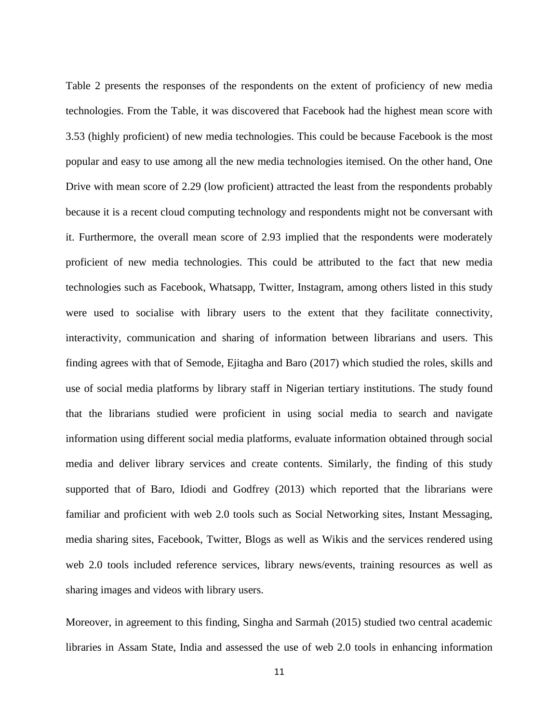Table 2 presents the responses of the respondents on the extent of proficiency of new media technologies. From the Table, it was discovered that Facebook had the highest mean score with 3.53 (highly proficient) of new media technologies. This could be because Facebook is the most popular and easy to use among all the new media technologies itemised. On the other hand, One Drive with mean score of 2.29 (low proficient) attracted the least from the respondents probably because it is a recent cloud computing technology and respondents might not be conversant with it. Furthermore, the overall mean score of 2.93 implied that the respondents were moderately proficient of new media technologies. This could be attributed to the fact that new media technologies such as Facebook, Whatsapp, Twitter, Instagram, among others listed in this study were used to socialise with library users to the extent that they facilitate connectivity, interactivity, communication and sharing of information between librarians and users. This finding agrees with that of Semode, Ejitagha and Baro (2017) which studied the roles, skills and use of social media platforms by library staff in Nigerian tertiary institutions. The study found that the librarians studied were proficient in using social media to search and navigate information using different social media platforms, evaluate information obtained through social media and deliver library services and create contents. Similarly, the finding of this study supported that of Baro, Idiodi and Godfrey (2013) which reported that the librarians were familiar and proficient with web 2.0 tools such as Social Networking sites, Instant Messaging, media sharing sites, Facebook, Twitter, Blogs as well as Wikis and the services rendered using web 2.0 tools included reference services, library news/events, training resources as well as sharing images and videos with library users.

Moreover, in agreement to this finding, Singha and Sarmah (2015) studied two central academic libraries in Assam State, India and assessed the use of web 2.0 tools in enhancing information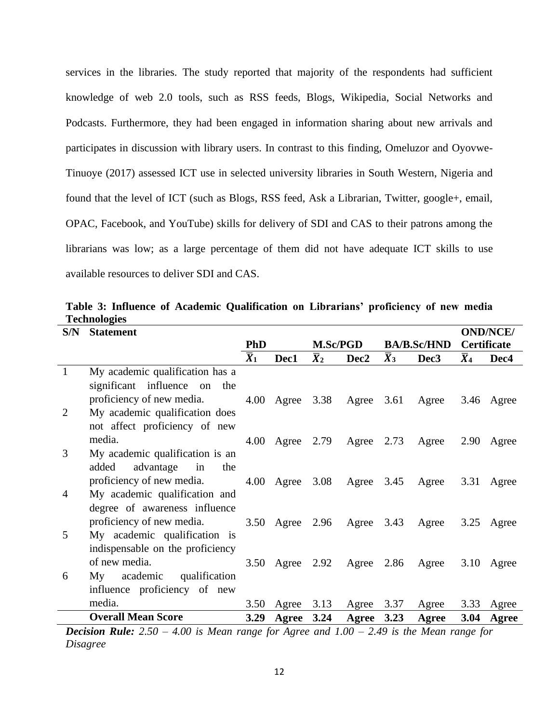services in the libraries. The study reported that majority of the respondents had sufficient knowledge of web 2.0 tools, such as RSS feeds, Blogs, Wikipedia, Social Networks and Podcasts. Furthermore, they had been engaged in information sharing about new arrivals and participates in discussion with library users. In contrast to this finding, Omeluzor and Oyovwe-Tinuoye (2017) assessed ICT use in selected university libraries in South Western, Nigeria and found that the level of ICT (such as Blogs, RSS feed, Ask a Librarian, Twitter, google+, email, OPAC, Facebook, and YouTube) skills for delivery of SDI and CAS to their patrons among the librarians was low; as a large percentage of them did not have adequate ICT skills to use available resources to deliver SDI and CAS.

| S/N            | <b>Statement</b>                                                                 |                  |                              |                  |                                       | <b>OND/NCE/</b>  |                  |                  |                  |
|----------------|----------------------------------------------------------------------------------|------------------|------------------------------|------------------|---------------------------------------|------------------|------------------|------------------|------------------|
|                |                                                                                  | <b>PhD</b>       |                              |                  | <b>M.Sc/PGD</b><br><b>BA/B.Sc/HND</b> |                  | Certificate      |                  |                  |
|                |                                                                                  | $\overline{X}_1$ | Dec1                         | $\overline{X}_2$ | Dec2                                  | $\overline{X}_3$ | Dec <sub>3</sub> | $\overline{X}_4$ | Dec <sub>4</sub> |
| $\mathbf{1}$   | My academic qualification has a                                                  |                  |                              |                  |                                       |                  |                  |                  |                  |
|                | significant influence on<br>the                                                  |                  |                              |                  |                                       |                  |                  |                  |                  |
|                | proficiency of new media.                                                        | 4.00             | Agree                        | 3.38             | Agree $3.61$                          |                  | Agree            |                  | 3.46 Agree       |
| $\overline{2}$ | My academic qualification does                                                   |                  |                              |                  |                                       |                  |                  |                  |                  |
|                | not affect proficiency of new                                                    |                  |                              |                  |                                       |                  |                  |                  |                  |
|                | media.                                                                           | 4.00             | Agree $2.79$                 |                  | Agree $2.73$                          |                  | Agree            | 2.90             | Agree            |
| 3              | My academic qualification is an                                                  |                  |                              |                  |                                       |                  |                  |                  |                  |
|                | added<br>advantage in<br>the                                                     |                  |                              |                  |                                       |                  |                  |                  |                  |
|                | proficiency of new media.                                                        |                  | 4.00 Agree                   | 3.08             | Agree $3.45$                          |                  | Agree            | 3.31             | Agree            |
| 4              | My academic qualification and                                                    |                  |                              |                  |                                       |                  |                  |                  |                  |
|                | degree of awareness influence                                                    |                  |                              |                  |                                       |                  |                  |                  |                  |
|                | proficiency of new media.                                                        | 3.50             | Agree $2.96$                 |                  | Agree $3.43$                          |                  | Agree            | 3.25             | Agree            |
| 5              | My academic qualification is                                                     |                  |                              |                  |                                       |                  |                  |                  |                  |
|                | indispensable on the proficiency                                                 |                  |                              |                  |                                       |                  |                  |                  |                  |
|                | of new media.                                                                    | 3.50             | Agree $2.92$                 |                  | Agree                                 | 2.86             | Agree            | 3.10             | Agree            |
| 6              | My academic<br>qualification                                                     |                  |                              |                  |                                       |                  |                  |                  |                  |
|                | influence proficiency of new                                                     |                  |                              |                  |                                       |                  |                  |                  |                  |
|                | media.                                                                           | 3.50             | Agree                        | 3.13             | Agree                                 | 3.37             | Agree            | 3.33             | Agree            |
|                | <b>Overall Mean Score</b>                                                        | 3.29             | Agree                        | 3.24             | Agree                                 | 3.23             | Agree            | <b>3.04</b>      | Agree            |
|                | $\sqrt{20}$ $\sqrt{11}$<br>$\mathbf{D}$ $\mathbf{I}$<br>$\sim$ $\epsilon$ $\sim$ |                  | $\epsilon$<br>$\overline{A}$ |                  | 1, 1, 0,0                             | 2.40             | $\mathbf{A}$     |                  |                  |

**Table 3: Influence of Academic Qualification on Librarians' proficiency of new media Technologies**

*Decision Rule: 2.50 – 4.00 is Mean range for Agree and 1.00 – 2.49 is the Mean range for Disagree*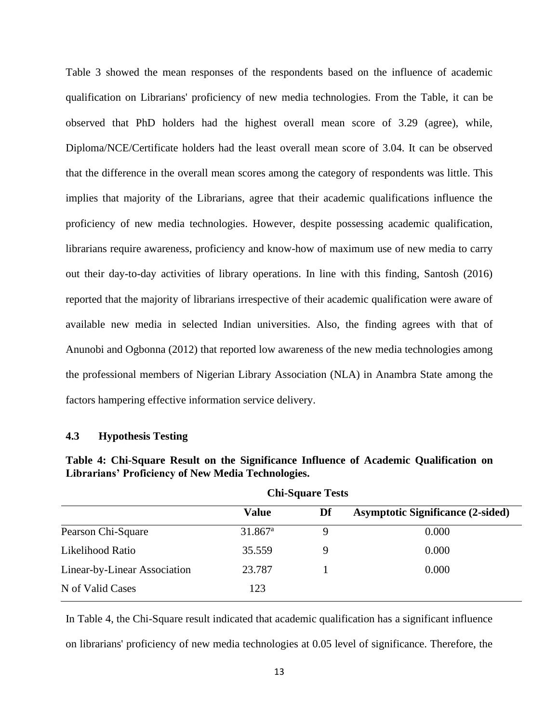Table 3 showed the mean responses of the respondents based on the influence of academic qualification on Librarians' proficiency of new media technologies. From the Table, it can be observed that PhD holders had the highest overall mean score of 3.29 (agree), while, Diploma/NCE/Certificate holders had the least overall mean score of 3.04. It can be observed that the difference in the overall mean scores among the category of respondents was little. This implies that majority of the Librarians, agree that their academic qualifications influence the proficiency of new media technologies. However, despite possessing academic qualification, librarians require awareness, proficiency and know-how of maximum use of new media to carry out their day-to-day activities of library operations. In line with this finding, Santosh (2016) reported that the majority of librarians irrespective of their academic qualification were aware of available new media in selected Indian universities. Also, the finding agrees with that of Anunobi and Ogbonna (2012) that reported low awareness of the new media technologies among the professional members of Nigerian Library Association (NLA) in Anambra State among the factors hampering effective information service delivery.

#### **4.3 Hypothesis Testing**

|                              | <b>CIII-Square Tests</b> |    |                                          |  |  |  |
|------------------------------|--------------------------|----|------------------------------------------|--|--|--|
|                              | <b>Value</b>             | Df | <b>Asymptotic Significance (2-sided)</b> |  |  |  |
| Pearson Chi-Square           | $31.867$ <sup>a</sup>    | Q  | 0.000                                    |  |  |  |
| Likelihood Ratio             | 35.559                   |    | 0.000                                    |  |  |  |
| Linear-by-Linear Association | 23.787                   |    | 0.000                                    |  |  |  |
| N of Valid Cases             | 123                      |    |                                          |  |  |  |

**Chi-Square Tests**

**Table 4: Chi-Square Result on the Significance Influence of Academic Qualification on Librarians' Proficiency of New Media Technologies.**

In Table 4, the Chi-Square result indicated that academic qualification has a significant influence on librarians' proficiency of new media technologies at 0.05 level of significance. Therefore, the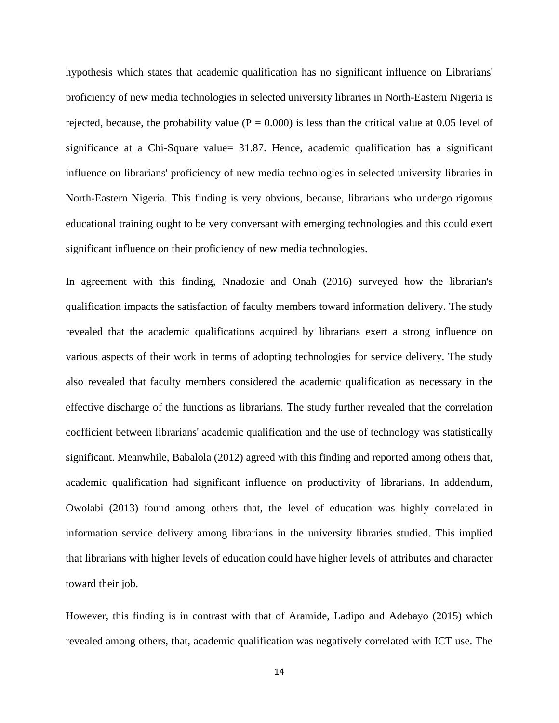hypothesis which states that academic qualification has no significant influence on Librarians' proficiency of new media technologies in selected university libraries in North-Eastern Nigeria is rejected, because, the probability value ( $P = 0.000$ ) is less than the critical value at 0.05 level of significance at a Chi-Square value= 31.87. Hence, academic qualification has a significant influence on librarians' proficiency of new media technologies in selected university libraries in North-Eastern Nigeria. This finding is very obvious, because, librarians who undergo rigorous educational training ought to be very conversant with emerging technologies and this could exert significant influence on their proficiency of new media technologies.

In agreement with this finding, Nnadozie and Onah (2016) surveyed how the librarian's qualification impacts the satisfaction of faculty members toward information delivery. The study revealed that the academic qualifications acquired by librarians exert a strong influence on various aspects of their work in terms of adopting technologies for service delivery. The study also revealed that faculty members considered the academic qualification as necessary in the effective discharge of the functions as librarians. The study further revealed that the correlation coefficient between librarians' academic qualification and the use of technology was statistically significant. Meanwhile, Babalola (2012) agreed with this finding and reported among others that, academic qualification had significant influence on productivity of librarians. In addendum, Owolabi (2013) found among others that, the level of education was highly correlated in information service delivery among librarians in the university libraries studied. This implied that librarians with higher levels of education could have higher levels of attributes and character toward their job.

However, this finding is in contrast with that of Aramide, Ladipo and Adebayo (2015) which revealed among others, that, academic qualification was negatively correlated with ICT use. The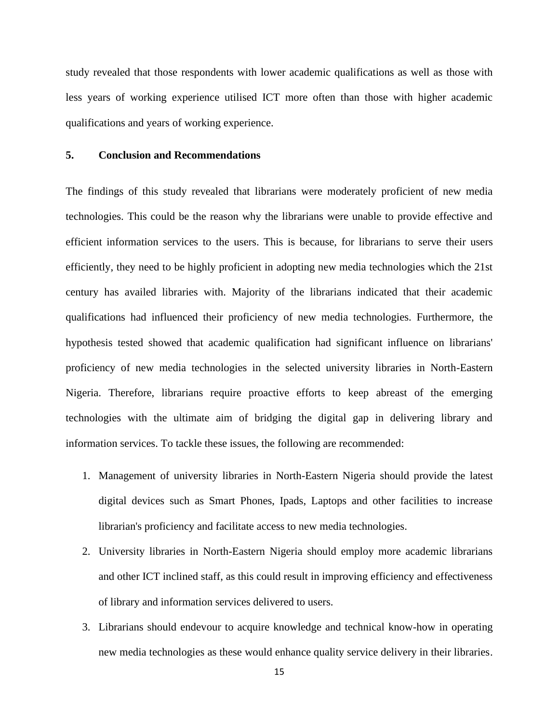study revealed that those respondents with lower academic qualifications as well as those with less years of working experience utilised ICT more often than those with higher academic qualifications and years of working experience.

#### **5. Conclusion and Recommendations**

The findings of this study revealed that librarians were moderately proficient of new media technologies. This could be the reason why the librarians were unable to provide effective and efficient information services to the users. This is because, for librarians to serve their users efficiently, they need to be highly proficient in adopting new media technologies which the 21st century has availed libraries with. Majority of the librarians indicated that their academic qualifications had influenced their proficiency of new media technologies. Furthermore, the hypothesis tested showed that academic qualification had significant influence on librarians' proficiency of new media technologies in the selected university libraries in North-Eastern Nigeria. Therefore, librarians require proactive efforts to keep abreast of the emerging technologies with the ultimate aim of bridging the digital gap in delivering library and information services. To tackle these issues, the following are recommended:

- 1. Management of university libraries in North-Eastern Nigeria should provide the latest digital devices such as Smart Phones, Ipads, Laptops and other facilities to increase librarian's proficiency and facilitate access to new media technologies.
- 2. University libraries in North-Eastern Nigeria should employ more academic librarians and other ICT inclined staff, as this could result in improving efficiency and effectiveness of library and information services delivered to users.
- 3. Librarians should endevour to acquire knowledge and technical know-how in operating new media technologies as these would enhance quality service delivery in their libraries.